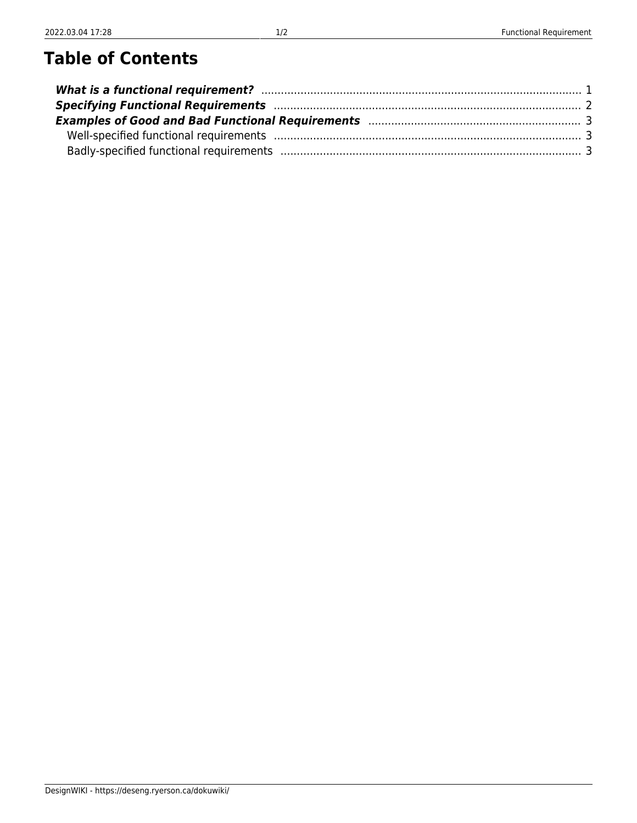## **Table of Contents**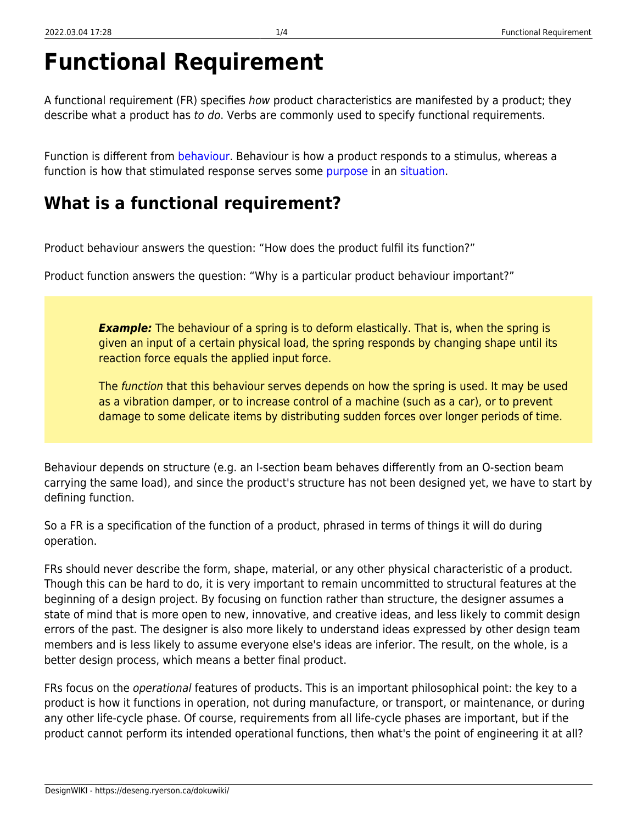# **Functional Requirement**

A functional requirement (FR) specifies how product characteristics are manifested by a product; they describe what a product has to do. Verbs are commonly used to specify functional requirements.

Function is different from [behaviour.](https://deseng.ryerson.ca/dokuwiki/design:behaviour) Behaviour is how a product responds to a stimulus, whereas a function is how that stimulated response serves some [purpose](https://deseng.ryerson.ca/dokuwiki/design:purpose) in an [situation.](https://deseng.ryerson.ca/dokuwiki/design:situation)

### <span id="page-2-0"></span>**What is a functional requirement?**

Product behaviour answers the question: "How does the product fulfil its function?"

Product function answers the question: "Why is a particular product behaviour important?"

*Example:* The behaviour of a spring is to deform elastically. That is, when the spring is given an input of a certain physical load, the spring responds by changing shape until its reaction force equals the applied input force.

The *function* that this behaviour serves depends on how the spring is used. It may be used as a vibration damper, or to increase control of a machine (such as a car), or to prevent damage to some delicate items by distributing sudden forces over longer periods of time.

Behaviour depends on structure (e.g. an I-section beam behaves differently from an O-section beam carrying the same load), and since the product's structure has not been designed yet, we have to start by defining function.

So a FR is a specification of the function of a product, phrased in terms of things it will do during operation.

FRs should never describe the form, shape, material, or any other physical characteristic of a product. Though this can be hard to do, it is very important to remain uncommitted to structural features at the beginning of a design project. By focusing on function rather than structure, the designer assumes a state of mind that is more open to new, innovative, and creative ideas, and less likely to commit design errors of the past. The designer is also more likely to understand ideas expressed by other design team members and is less likely to assume everyone else's ideas are inferior. The result, on the whole, is a better design process, which means a better final product.

FRs focus on the *operational* features of products. This is an important philosophical point: the key to a product is how it functions in operation, not during manufacture, or transport, or maintenance, or during any other life-cycle phase. Of course, requirements from all life-cycle phases are important, but if the product cannot perform its intended operational functions, then what's the point of engineering it at all?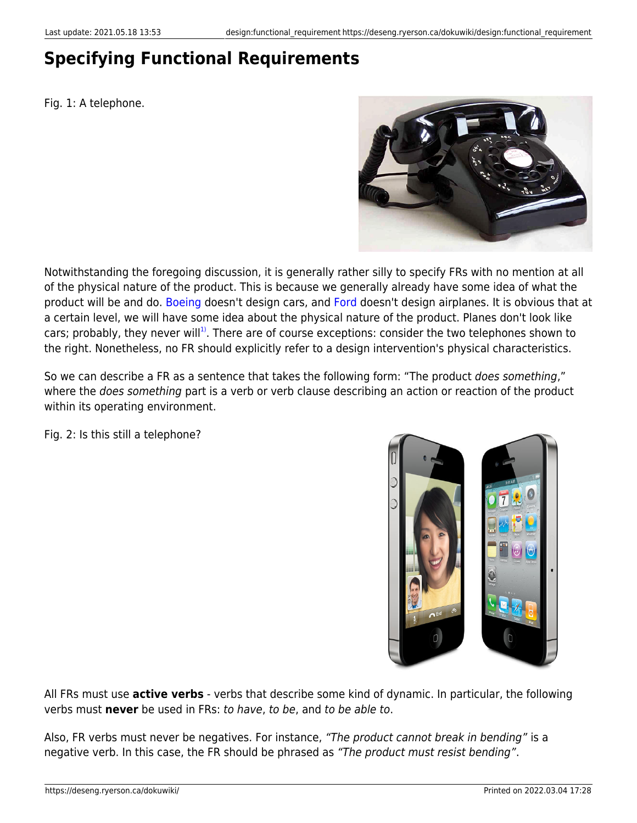### <span id="page-3-0"></span>**Specifying Functional Requirements**

Fig. 1: A telephone.



Notwithstanding the foregoing discussion, it is generally rather silly to specify FRs with no mention at all of the physical nature of the product. This is because we generally already have some idea of what the product will be and do. [Boeing](http://www.boeing.com/) doesn't design cars, and [Ford](http://www.ford.ca) doesn't design airplanes. It is obvious that at a certain level, we will have some idea about the physical nature of the product. Planes don't look like cars; probably, they never will<sup>[1\)](#page--1-0)</sup>. There are of course exceptions: consider the two telephones shown to the right. Nonetheless, no FR should explicitly refer to a design intervention's physical characteristics.

So we can describe a FR as a sentence that takes the following form: "The product does something," where the *does something* part is a verb or verb clause describing an action or reaction of the product within its operating environment.

Fig. 2: Is this still a telephone?



All FRs must use **active verbs** - verbs that describe some kind of dynamic. In particular, the following verbs must **never** be used in FRs: to have, to be, and to be able to.

Also, FR verbs must never be negatives. For instance, "The product cannot break in bending" is a negative verb. In this case, the FR should be phrased as "The product must resist bending".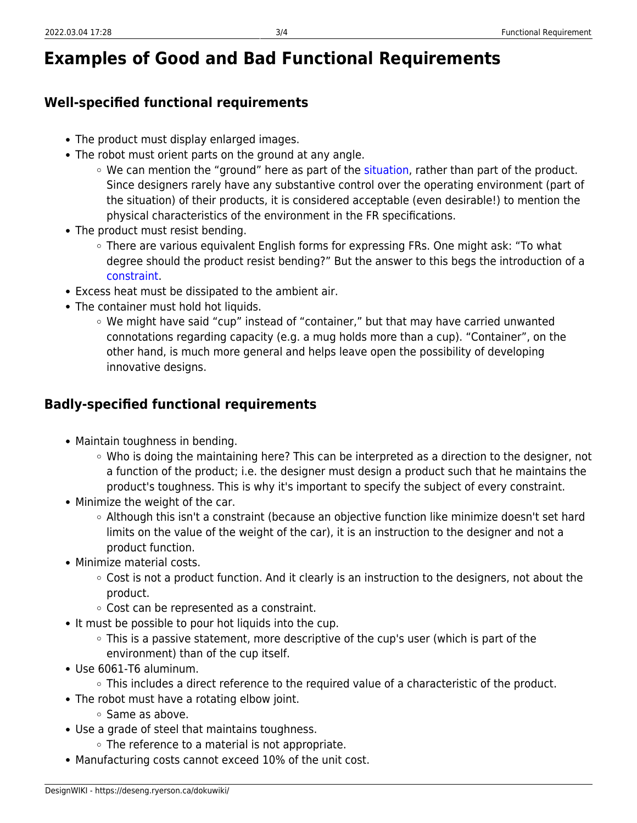### <span id="page-4-0"></span>**Examples of Good and Bad Functional Requirements**

#### <span id="page-4-1"></span>**Well-specified functional requirements**

- The product must display enlarged images.
- The robot must orient parts on the ground at any angle.
	- We can mention the "ground" here as part of the [situation](https://deseng.ryerson.ca/dokuwiki/design:situation), rather than part of the product. Since designers rarely have any substantive control over the operating environment (part of the situation) of their products, it is considered acceptable (even desirable!) to mention the physical characteristics of the environment in the FR specifications.
- The product must resist bending.
	- $\circ$  There are various equivalent English forms for expressing FRs. One might ask: "To what degree should the product resist bending?" But the answer to this begs the introduction of a [constraint](https://deseng.ryerson.ca/dokuwiki/design:constraint).
- Excess heat must be dissipated to the ambient air.
- The container must hold hot liquids.
	- $\circ$  We might have said "cup" instead of "container," but that may have carried unwanted connotations regarding capacity (e.g. a mug holds more than a cup). "Container", on the other hand, is much more general and helps leave open the possibility of developing innovative designs.

#### <span id="page-4-2"></span>**Badly-specified functional requirements**

- Maintain toughness in bending.
	- Who is doing the maintaining here? This can be interpreted as a direction to the designer, not a function of the product; i.e. the designer must design a product such that he maintains the product's toughness. This is why it's important to specify the subject of every constraint.
- Minimize the weight of the car.
	- Although this isn't a constraint (because an objective function like minimize doesn't set hard limits on the value of the weight of the car), it is an instruction to the designer and not a product function.
- Minimize material costs.
	- $\circ$  Cost is not a product function. And it clearly is an instruction to the designers, not about the product.
	- Cost can be represented as a constraint.
- It must be possible to pour hot liquids into the cup.
	- $\circ$  This is a passive statement, more descriptive of the cup's user (which is part of the environment) than of the cup itself.
- Use 6061-T6 aluminum.
	- This includes a direct reference to the required value of a characteristic of the product.
- The robot must have a rotating elbow joint.
	- Same as above.
- Use a grade of steel that maintains toughness.
	- $\circ$  The reference to a material is not appropriate.
- Manufacturing costs cannot exceed 10% of the unit cost.